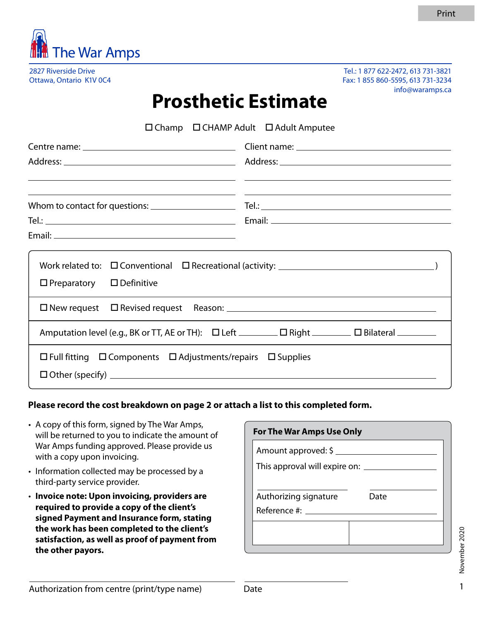

2827 Riverside Drive Ottawa, Ontario K1V 0C4

Tel.: 1 877 622-2472, 613 731-3821 Fax: 1 855 860-5595, 613 731-3234 info@waramps.ca

## **Prosthetic Estimate**

|                                                                                  | $\Box$ Champ $\Box$ CHAMP Adult $\Box$ Adult Amputee |  |  |  |
|----------------------------------------------------------------------------------|------------------------------------------------------|--|--|--|
|                                                                                  |                                                      |  |  |  |
|                                                                                  |                                                      |  |  |  |
|                                                                                  |                                                      |  |  |  |
|                                                                                  |                                                      |  |  |  |
| $\Box$ Preparatory $\Box$ Definitive                                             |                                                      |  |  |  |
|                                                                                  |                                                      |  |  |  |
|                                                                                  |                                                      |  |  |  |
| $\Box$ Full fitting $\Box$ Components $\Box$ Adjustments/repairs $\Box$ Supplies |                                                      |  |  |  |

## **Please record the cost breakdown on page 2 or attach a list to this completed form.**

- A copy of this form, signed by The War Amps, will be returned to you to indicate the amount of War Amps funding approved. Please provide us with a copy upon invoicing.
- Information collected may be processed by a third-party service provider.
- **Invoice note: Upon invoicing, providers are required to provide a copy of the client's signed Payment and Insurance form, stating the work has been completed to the client's satisfaction, as well as proof of payment from the other payors.**

| <b>For The War Amps Use Only</b>                                       |      |  |  |  |  |
|------------------------------------------------------------------------|------|--|--|--|--|
| Amount approved: $\frac{2}{3}$ ______<br>This approval will expire on: |      |  |  |  |  |
|                                                                        |      |  |  |  |  |
| Authorizing signature<br>Reference #: _____                            | Date |  |  |  |  |
|                                                                        |      |  |  |  |  |
|                                                                        |      |  |  |  |  |